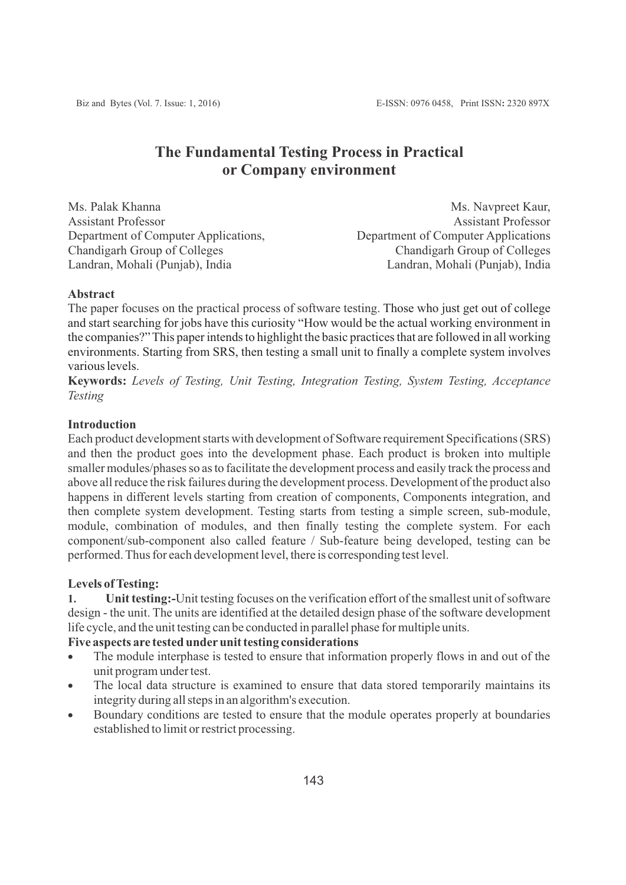# **The Fundamental Testing Process in Practical or Company environment**

Ms. Palak Khanna Assistant Professor Department of Computer Applications, Chandigarh Group of Colleges Landran, Mohali (Punjab), India

Ms. Navpreet Kaur, Assistant Professor Department of Computer Applications Chandigarh Group of Colleges Landran, Mohali (Punjab), India

## **Abstract**

The paper focuses on the practical process of software testing. Those who just get out of college and start searching for jobs have this curiosity "How would be the actual working environment in the companies?" This paper intends to highlight the basic practices that are followed in all working environments. Starting from SRS, then testing a small unit to finally a complete system involves various levels.

**Keywords:** *Levels of Testing, Unit Testing, Integration Testing, System Testing, Acceptance Testing*

#### **Introduction**

Each product development starts with development of Software requirement Specifications (SRS) and then the product goes into the development phase. Each product is broken into multiple smaller modules/phases so as to facilitate the development process and easily track the process and above all reduce the risk failures during the development process. Development of the product also happens in different levels starting from creation of components, Components integration, and then complete system development. Testing starts from testing a simple screen, sub-module, module, combination of modules, and then finally testing the complete system. For each component/sub-component also called feature / Sub-feature being developed, testing can be performed. Thus for each development level, there is corresponding test level.

#### **Levels of Testing:**

**1. Unit testing:-**Unit testing focuses on the verification effort of the smallest unit of software design - the unit. The units are identified at the detailed design phase of the software development life cycle, and the unit testing can be conducted in parallel phase for multiple units.

# **Five aspects are tested underunit testing considerations**

- The module interphase is tested to ensure that information properly flows in and out of the unit program under test.
- The local data structure is examined to ensure that data stored temporarily maintains its integrity during all steps in an algorithm's execution.
- Boundary conditions are tested to ensure that the module operates properly at boundaries established to limit or restrict processing.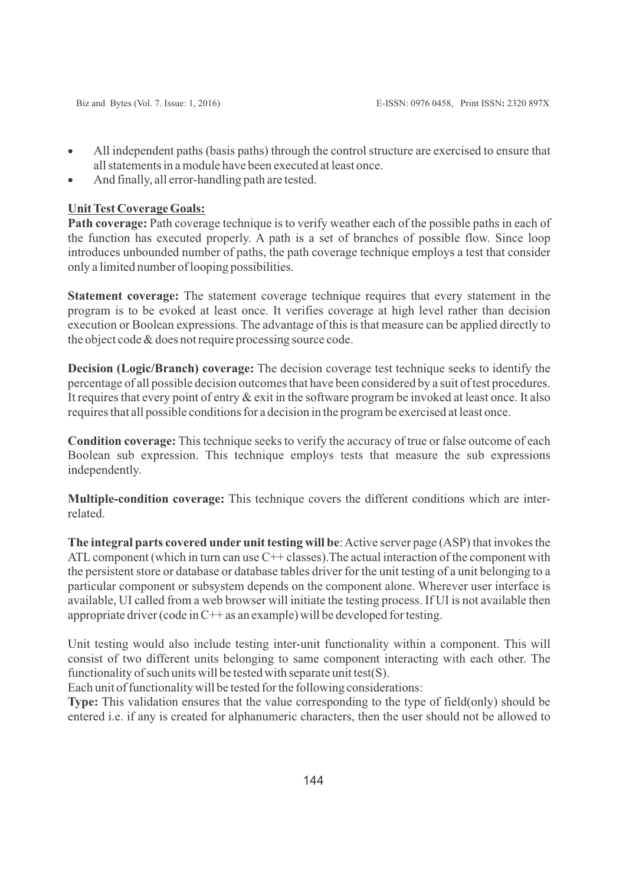- · All independent paths (basis paths) through the control structure are exercised to ensure that all statements in a module have been executed at least once.
- And finally, all error-handling path are tested.

# **Unit Test Coverage Goals:**

**Path coverage:** Path coverage technique is to verify weather each of the possible paths in each of the function has executed properly. A path is a set of branches of possible flow. Since loop introduces unbounded number of paths, the path coverage technique employs a test that consider only a limited number of looping possibilities.

**Statement coverage:** The statement coverage technique requires that every statement in the program is to be evoked at least once. It verifies coverage at high level rather than decision execution or Boolean expressions. The advantage of this is that measure can be applied directly to the object code & does not require processing source code.

**Decision (Logic/Branch) coverage:** The decision coverage test technique seeks to identify the percentage of all possible decision outcomes that have been considered by a suit of test procedures. It requires that every point of entry & exit in the software program be invoked at least once. It also requires that all possible conditions for a decision in the program be exercised at least once.

**Condition coverage:** This technique seeks to verify the accuracy of true or false outcome of each Boolean sub expression. This technique employs tests that measure the sub expressions independently.

**Multiple-condition coverage:** This technique covers the different conditions which are interrelated.

**The integral parts covered under unit testing will be**: Active server page (ASP) that invokes the ATL component (which in turn can use  $C++$  classes). The actual interaction of the component with the persistent store or database or database tables driver for the unit testing of a unit belonging to a particular component or subsystem depends on the component alone. Wherever user interface is available, UI called from a web browser will initiate the testing process. If UI is not available then appropriate driver (code in  $C++$  as an example) will be developed for testing.

Unit testing would also include testing inter-unit functionality within a component. This will consist of two different units belonging to same component interacting with each other. The functionality of such units will be tested with separate unit test(S).

Each unit of functionality will be tested for the following considerations:

**Type:** This validation ensures that the value corresponding to the type of field(only) should be entered i.e. if any is created for alphanumeric characters, then the user should not be allowed to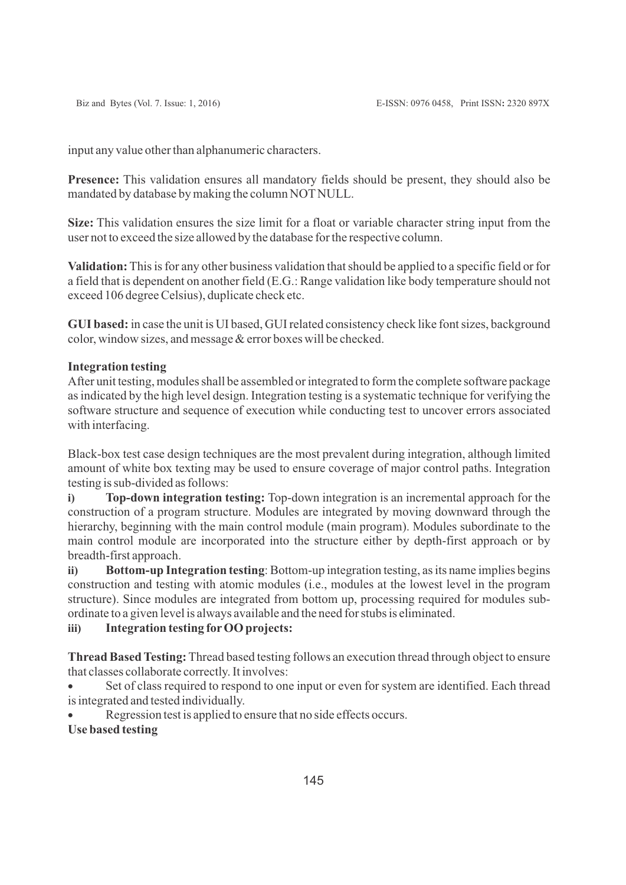input any value other than alphanumeric characters.

**Presence:** This validation ensures all mandatory fields should be present, they should also be mandated by database by making the column NOTNULL.

**Size:** This validation ensures the size limit for a float or variable character string input from the user not to exceed the size allowed by the database for the respective column.

**Validation:**This is for any other business validation that should be applied to a specific field or for a field that is dependent on another field (E.G.: Range validation like body temperature should not exceed 106 degree Celsius), duplicate check etc.

**GUI based:**in case the unit is UI based, GUI related consistency check like font sizes, background color, window sizes, and message & error boxes will be checked.

#### **Integration testing**

After unit testing, modules shall be assembled or integrated to form the complete software package as indicated by the high level design. Integration testing is a systematic technique for verifying the software structure and sequence of execution while conducting test to uncover errors associated with interfacing.

Black-box test case design techniques are the most prevalent during integration, although limited amount of white box texting may be used to ensure coverage of major control paths. Integration testing is sub-divided as follows:

**i) Top-down integration testing:** Top-down integration is an incremental approach for the construction of a program structure. Modules are integrated by moving downward through the hierarchy, beginning with the main control module (main program). Modules subordinate to the main control module are incorporated into the structure either by depth-first approach or by breadth-first approach.

**ii) Bottom-up Integration testing**: Bottom-up integration testing, as its name implies begins construction and testing with atomic modules (i.e., modules at the lowest level in the program structure). Since modules are integrated from bottom up, processing required for modules subordinate to a given level is always available and the need for stubs is eliminated.

**iii) Integration testing forOO projects:**

**Thread Based Testing:**Thread based testing follows an execution thread through object to ensure that classes collaborate correctly. It involves:

Set of class required to respond to one input or even for system are identified. Each thread is integrated and tested individually.

Regression test is applied to ensure that no side effects occurs.

### **Use based testing**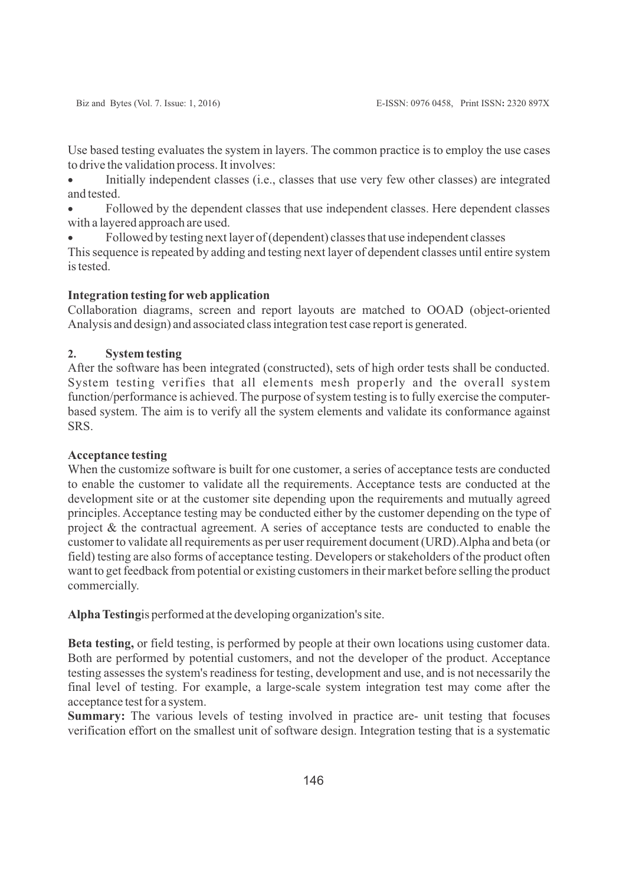Use based testing evaluates the system in layers. The common practice is to employ the use cases to drive the validation process. It involves:

Initially independent classes (i.e., classes that use very few other classes) are integrated and tested.

Followed by the dependent classes that use independent classes. Here dependent classes with a layered approach are used.

Followed by testing next layer of (dependent) classes that use independent classes

This sequence is repeated by adding and testing next layer of dependent classes until entire system is tested.

#### **Integration testing forweb application**

Collaboration diagrams, screen and report layouts are matched to OOAD (object-oriented Analysis and design) and associated class integration test case report is generated.

### **2. System testing**

After the software has been integrated (constructed), sets of high order tests shall be conducted. System testing verifies that all elements mesh properly and the overall system function/performance is achieved. The purpose of system testing is to fully exercise the computerbased system. The aim is to verify all the system elements and validate its conformance against SRS.

#### **Acceptance testing**

When the customize software is built for one customer, a series of acceptance tests are conducted to enable the customer to validate all the requirements. Acceptance tests are conducted at the development site or at the customer site depending upon the requirements and mutually agreed principles. Acceptance testing may be conducted either by the customer depending on the type of project & the contractual agreement. A series of acceptance tests are conducted to enable the customer to validate all requirements as per user requirement document (URD).Alpha and beta (or field) testing are also forms of acceptance testing. Developers or stakeholders of the product often want to get feedback from potential or existing customers in their market before selling the product commercially.

**Alpha Testing**is performed at the developing organization's site.

**Beta testing,** or field testing, is performed by people at their own locations using customer data. Both are performed by potential customers, and not the developer of the product. Acceptance testing assesses the system's readiness for testing, development and use, and is not necessarily the final level of testing. For example, a large-scale system integration test may come after the acceptance test for a system.

**Summary:** The various levels of testing involved in practice are- unit testing that focuses verification effort on the smallest unit of software design. Integration testing that is a systematic